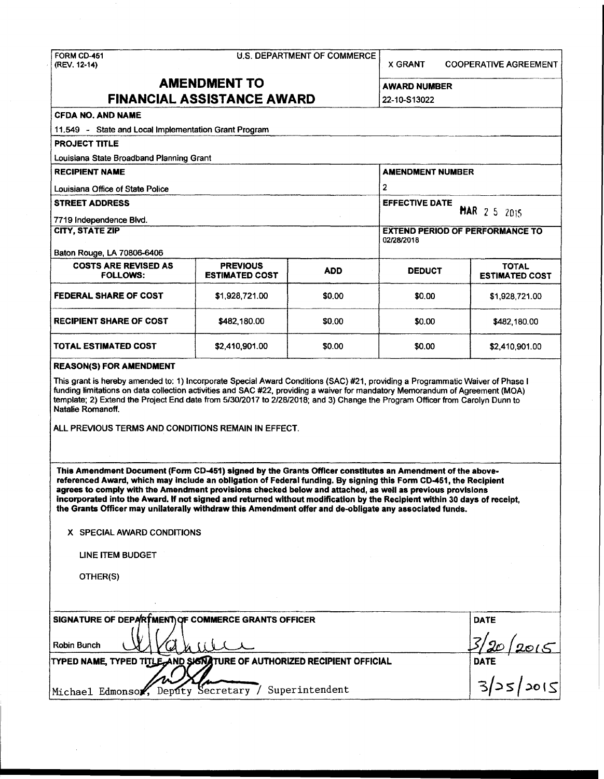# FORM CD-451 U.S. DEPARTMENT OF COMMERCE (REV. 12-14)

X GRANT COOPERATIVE AGREEMENT

## **AMENDMENT TO FINANCIAL ASSISTANCE AWARD** 22-10-S13022

| <b>CFDA NO. AND NAME</b>                                                                                                                                                                                                                                                                                                                                                                                                                                                                                                                                                                                        |                                          |                                              |                                                      |                                          |  |  |  |
|-----------------------------------------------------------------------------------------------------------------------------------------------------------------------------------------------------------------------------------------------------------------------------------------------------------------------------------------------------------------------------------------------------------------------------------------------------------------------------------------------------------------------------------------------------------------------------------------------------------------|------------------------------------------|----------------------------------------------|------------------------------------------------------|------------------------------------------|--|--|--|
| 11.549 - State and Local Implementation Grant Program                                                                                                                                                                                                                                                                                                                                                                                                                                                                                                                                                           |                                          |                                              |                                                      |                                          |  |  |  |
| <b>PROJECT TITLE</b>                                                                                                                                                                                                                                                                                                                                                                                                                                                                                                                                                                                            |                                          |                                              |                                                      |                                          |  |  |  |
| Louisiana State Broadband Planning Grant                                                                                                                                                                                                                                                                                                                                                                                                                                                                                                                                                                        |                                          |                                              |                                                      |                                          |  |  |  |
| <b>RECIPIENT NAME</b>                                                                                                                                                                                                                                                                                                                                                                                                                                                                                                                                                                                           |                                          |                                              | <b>AMENDMENT NUMBER</b>                              |                                          |  |  |  |
| Louisiana Office of State Police                                                                                                                                                                                                                                                                                                                                                                                                                                                                                                                                                                                |                                          |                                              | $\overline{2}$                                       |                                          |  |  |  |
| <b>STREET ADDRESS</b>                                                                                                                                                                                                                                                                                                                                                                                                                                                                                                                                                                                           |                                          | <b>EFFECTIVE DATE</b><br><b>MAR</b> 2 5 2015 |                                                      |                                          |  |  |  |
| 7719 Independence Blvd.                                                                                                                                                                                                                                                                                                                                                                                                                                                                                                                                                                                         |                                          |                                              |                                                      |                                          |  |  |  |
| <b>CITY, STATE ZIP</b>                                                                                                                                                                                                                                                                                                                                                                                                                                                                                                                                                                                          |                                          |                                              | <b>EXTEND PERIOD OF PERFORMANCE TO</b><br>02/28/2018 |                                          |  |  |  |
| Baton Rouge, LA 70806-6406                                                                                                                                                                                                                                                                                                                                                                                                                                                                                                                                                                                      |                                          |                                              |                                                      |                                          |  |  |  |
| <b>COSTS ARE REVISED AS</b><br><b>FOLLOWS:</b>                                                                                                                                                                                                                                                                                                                                                                                                                                                                                                                                                                  | <b>PREVIOUS</b><br><b>ESTIMATED COST</b> | <b>ADD</b>                                   | <b>DEDUCT</b>                                        | <b>TOTAL</b><br><b>ESTIMATED COST</b>    |  |  |  |
| <b>FEDERAL SHARE OF COST</b>                                                                                                                                                                                                                                                                                                                                                                                                                                                                                                                                                                                    | \$1,928,721.00                           | \$0.00                                       | \$0,00                                               | \$1,928,721.00                           |  |  |  |
| RECIPIENT SHARE OF COST                                                                                                                                                                                                                                                                                                                                                                                                                                                                                                                                                                                         | \$482,180.00                             | \$0.00                                       | \$0.00                                               | \$482,180.00                             |  |  |  |
| <b>TOTAL ESTIMATED COST</b>                                                                                                                                                                                                                                                                                                                                                                                                                                                                                                                                                                                     | \$2,410,901.00                           | \$0.00                                       | \$0.00                                               | \$2,410,901.00                           |  |  |  |
| <b>REASON(S) FOR AMENDMENT</b>                                                                                                                                                                                                                                                                                                                                                                                                                                                                                                                                                                                  |                                          |                                              |                                                      |                                          |  |  |  |
| This grant is hereby amended to: 1) Incorporate Special Award Conditions (SAC) #21, providing a Programmatic Waiver of Phase I<br>funding limitations on data collection activities and SAC #22, providing a waiver for mandatory Memorandum of Agreement (MOA)<br>template; 2) Extend the Project End date from 5/30/2017 to 2/28/2018; and 3) Change the Program Officer from Carolyn Dunn to<br>Natalie Romanoff.<br>ALL PREVIOUS TERMS AND CONDITIONS REMAIN IN EFFECT.                                                                                                                                     |                                          |                                              |                                                      |                                          |  |  |  |
| This Amendment Document (Form CD-451) signed by the Grants Officer constitutes an Amendment of the above-<br>referenced Award, which may include an obligation of Federal funding. By signing this Form CD-451, the Recipient<br>agrees to comply with the Amendment provisions checked below and attached, as well as previous provisions<br>incorporated into the Award. If not signed and returned without modification by the Recipient within 30 days of receipt,<br>the Grants Officer may unilaterally withdraw this Amendment offer and de-obligate any associated funds.<br>X SPECIAL AWARD CONDITIONS |                                          |                                              |                                                      |                                          |  |  |  |
| <b>LINE ITEM BUDGET</b>                                                                                                                                                                                                                                                                                                                                                                                                                                                                                                                                                                                         |                                          |                                              |                                                      |                                          |  |  |  |
| OTHER(S)                                                                                                                                                                                                                                                                                                                                                                                                                                                                                                                                                                                                        |                                          |                                              |                                                      |                                          |  |  |  |
|                                                                                                                                                                                                                                                                                                                                                                                                                                                                                                                                                                                                                 |                                          |                                              |                                                      |                                          |  |  |  |
| SIGNATURE OF DEPARTMENT OF COMMERCE GRANTS OFFICER<br>Robin Bunch                                                                                                                                                                                                                                                                                                                                                                                                                                                                                                                                               |                                          | <b>DATE</b>                                  |                                                      |                                          |  |  |  |
| TYPED NAME, TYPED TITLE AND SIGNATURE OF AUTHORIZED RECIPIENT OFFICIAL                                                                                                                                                                                                                                                                                                                                                                                                                                                                                                                                          |                                          |                                              |                                                      | $\frac{3/20}{2015}$<br>DATE<br>3/25/2015 |  |  |  |
| Deputy Secretary / Superintendent<br>Michael Edmonsor,                                                                                                                                                                                                                                                                                                                                                                                                                                                                                                                                                          |                                          |                                              |                                                      |                                          |  |  |  |